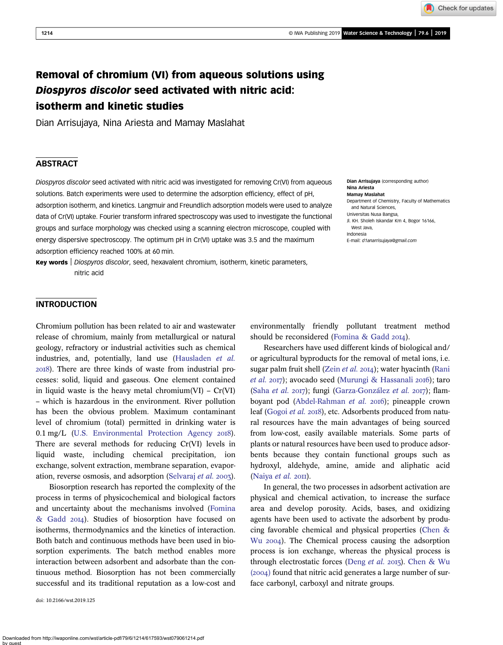Check for updates

# Removal of chromium (VI) from aqueous solutions using Diospyros discolor seed activated with nitric acid: isotherm and kinetic studies

Dian Arrisujaya, Nina Ariesta and Mamay Maslahat

# **ABSTRACT**

Diospyros discolor seed activated with nitric acid was investigated for removing Cr(VI) from aqueous solutions. Batch experiments were used to determine the adsorption efficiency, effect of pH, adsorption isotherm, and kinetics. Langmuir and Freundlich adsorption models were used to analyze data of Cr(VI) uptake. Fourier transform infrared spectroscopy was used to investigate the functional groups and surface morphology was checked using a scanning electron microscope, coupled with energy dispersive spectroscopy. The optimum pH in Cr(VI) uptake was 3.5 and the maximum adsorption efficiency reached 100% at 60 min.

Key words | Diospyros discolor, seed, hexavalent chromium, isotherm, kinetic parameters, nitric acid

Dian Arrisujaya (corresponding author) Nina Ariesta Mamay Maslahat Department of Chemistry, Faculty of Mathematics and Natural Sciences, Universitas Nusa Bangsa, Jl. KH. Sholeh Iskandar Km 4, Bogor 16166, West Java, Indonesia E-mail: [d1anarrisujaya@gmail.com](mailto:d1anarrisujaya@gmail.com)

## INTRODUCTION

Chromium pollution has been related to air and wastewater release of chromium, mainly from metallurgical or natural geology, refractory or industrial activities such as chemical industries, and, potentially, land use [\(Hausladen](#page-6-0) et al. ). There are three kinds of waste from industrial processes: solid, liquid and gaseous. One element contained in liquid waste is the heavy metal chromium $(VI) - Cr(VI)$ – which is hazardous in the environment. River pollution has been the obvious problem. Maximum contaminant level of chromium (total) permitted in drinking water is 0.1 mg/L [\(U.S. Environmental Protection Agency](#page-7-0) 2018). There are several methods for reducing Cr(VI) levels in liquid waste, including chemical precipitation, ion exchange, solvent extraction, membrane separation, evapor-ation, reverse osmosis, and adsorption ([Selvaraj](#page-7-0) et al. 2003).

Biosorption research has reported the complexity of the process in terms of physicochemical and biological factors and uncertainty about the mechanisms involved ([Fomina](#page-6-0) [& Gadd](#page-6-0) 2014). Studies of biosorption have focused on isotherms, thermodynamics and the kinetics of interaction. Both batch and continuous methods have been used in biosorption experiments. The batch method enables more interaction between adsorbent and adsorbate than the continuous method. Biosorption has not been commercially successful and its traditional reputation as a low-cost and

doi: 10.2166/wst.2019.125

environmentally friendly pollutant treatment method should be reconsidered [\(Fomina & Gadd](#page-6-0) 2014).

Researchers have used different kinds of biological and/ or agricultural byproducts for the removal of metal ions, i.e. sugar palm fruit shell (Zein [et al.](#page-7-0) 2014); water hyacinth ([Rani](#page-7-0) [et al.](#page-7-0) 2017); avocado seed ([Murungi & Hassanali](#page-6-0) 2016); taro (Saha [et al.](#page-7-0) 2017); fungi [\(Garza-González](#page-6-0) et al. 2017); flam-boyant pod [\(Abdel-Rahman](#page-6-0) et al. 2016); pineapple crown leaf ([Gogoi](#page-6-0) et al. 2018), etc. Adsorbents produced from natural resources have the main advantages of being sourced from low-cost, easily available materials. Some parts of plants or natural resources have been used to produce adsorbents because they contain functional groups such as hydroxyl, aldehyde, amine, amide and aliphatic acid ([Naiya](#page-7-0) *et al.*  $20$ II).

In general, the two processes in adsorbent activation are physical and chemical activation, to increase the surface area and develop porosity. Acids, bases, and oxidizing agents have been used to activate the adsorbent by producing favorable chemical and physical properties [\(Chen &](#page-6-0) Wu 2004). The Chemical process causing the adsorption process is ion exchange, whereas the physical process is through electrostatic forces [\(Deng](#page-6-0) et al. 2015). [Chen & Wu](#page-6-0)  $(2004)$  found that nitric acid generates a large number of surface carbonyl, carboxyl and nitrate groups.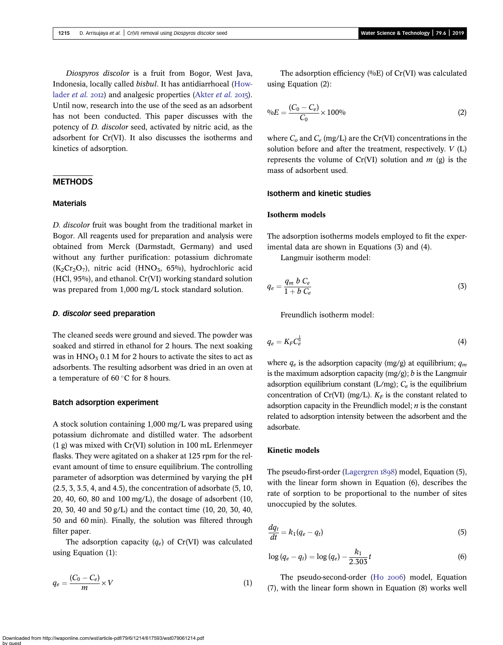Diospyros discolor is a fruit from Bogor, West Java, Indonesia, locally called bisbul. It has antidiarrhoeal ([How](#page-6-0)[lader](#page-6-0) *et al.* 2012) and analgesic properties [\(Akter](#page-6-0) *et al.* 2015). Until now, research into the use of the seed as an adsorbent has not been conducted. This paper discusses with the potency of D. discolor seed, activated by nitric acid, as the adsorbent for Cr(VI). It also discusses the isotherms and kinetics of adsorption.

# **METHODS**

### **Materials**

D. discolor fruit was bought from the traditional market in Bogor. All reagents used for preparation and analysis were obtained from Merck (Darmstadt, Germany) and used without any further purification: potassium dichromate  $(K_2Cr_2O_7)$ , nitric acid (HNO<sub>3</sub>, 65%), hydrochloric acid (HCl, 95%), and ethanol. Cr(VI) working standard solution was prepared from 1,000 mg/L stock standard solution.

## D. discolor seed preparation

The cleaned seeds were ground and sieved. The powder was soaked and stirred in ethanol for 2 hours. The next soaking was in  $HNO<sub>3</sub> 0.1 M$  for 2 hours to activate the sites to act as adsorbents. The resulting adsorbent was dried in an oven at a temperature of  $60^{\circ}$ C for 8 hours.

## Batch adsorption experiment

A stock solution containing 1,000 mg/L was prepared using potassium dichromate and distilled water. The adsorbent (1 g) was mixed with Cr(VI) solution in 100 mL Erlenmeyer flasks. They were agitated on a shaker at 125 rpm for the relevant amount of time to ensure equilibrium. The controlling parameter of adsorption was determined by varying the pH (2.5, 3, 3.5, 4, and 4.5), the concentration of adsorbate (5, 10, 20, 40, 60, 80 and 100 mg/L), the dosage of adsorbent (10, 20, 30, 40 and 50 g/L) and the contact time (10, 20, 30, 40, 50 and 60 min). Finally, the solution was filtered through filter paper.

The adsorption capacity  $(q_e)$  of Cr(VI) was calculated using Equation (1):

$$
q_e = \frac{(C_0 - C_e)}{m} \times V \tag{1}
$$

The adsorption efficiency (%E) of Cr(VI) was calculated using Equation (2):

$$
^{0}\%E = \frac{(C_0 - C_e)}{C_0} \times 100\%
$$
\n(2)

where  $C_0$  and  $C_e$  (mg/L) are the Cr(VI) concentrations in the solution before and after the treatment, respectively. V (L) represents the volume of  $Cr(VI)$  solution and m (g) is the mass of adsorbent used.

## Isotherm and kinetic studies

#### Isotherm models

The adsorption isotherms models employed to fit the experimental data are shown in Equations (3) and (4).

Langmuir isotherm model:

$$
q_e = \frac{q_m b C_e}{1 + b C_e} \tag{3}
$$

Freundlich isotherm model:

$$
q_e = K_F C_e^{\frac{1}{2}} \tag{4}
$$

where  $q_e$  is the adsorption capacity (mg/g) at equilibrium;  $q_m$ is the maximum adsorption capacity  $(mg/g)$ ; *b* is the Langmuir adsorption equilibrium constant (L/mg);  $C_e$  is the equilibrium concentration of Cr(VI) (mg/L).  $K_F$  is the constant related to adsorption capacity in the Freundlich model;  $n$  is the constant related to adsorption intensity between the adsorbent and the adsorbate.

# Kinetic models

The pseudo-first-order ([Lagergren](#page-6-0) 1898) model, Equation (5), with the linear form shown in Equation (6), describes the rate of sorption to be proportional to the number of sites unoccupied by the solutes.

$$
\frac{dq_t}{dt} = k_1(q_e - q_t) \tag{5}
$$

$$
\log (q_e - q_t) = \log (q_e) - \frac{k_1}{2.303}t \tag{6}
$$

The pseudo-second-order (Ho 2006) model, Equation (7), with the linear form shown in Equation (8) works well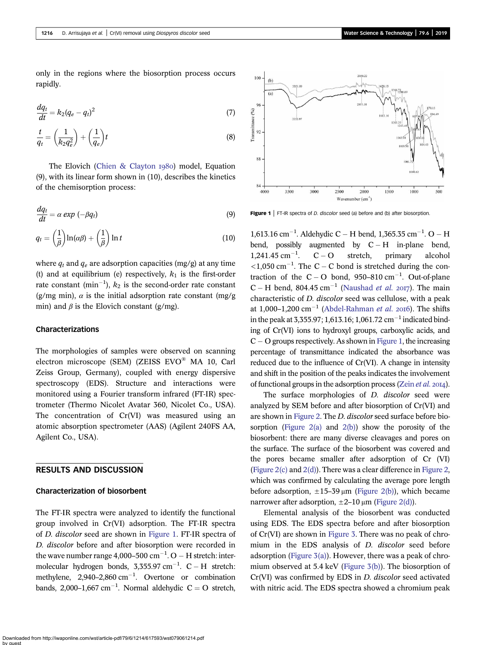only in the regions where the biosorption process occurs rapidly.

$$
\frac{dq_t}{dt} = k_2(q_e - q_t)^2\tag{7}
$$

$$
\frac{t}{q_t} = \left(\frac{1}{k_2 q_e^2}\right) + \left(\frac{1}{q_e}\right)t\tag{8}
$$

The Elovich ([Chien & Clayton](#page-6-0)  $1980$ ) model, Equation (9), with its linear form shown in (10), describes the kinetics of the chemisorption process:

$$
\frac{dq_t}{dt} = \alpha \exp(-\beta q_t) \tag{9}
$$

$$
q_t = \left(\frac{1}{\beta}\right) \ln(\alpha \beta) + \left(\frac{1}{\beta}\right) \ln t \tag{10}
$$

where  $q_t$  and  $q_e$  are adsorption capacities (mg/g) at any time (t) and at equilibrium (e) respectively,  $k_1$  is the first-order rate constant (min<sup>-1</sup>),  $k_2$  is the second-order rate constant (g/mg min),  $\alpha$  is the initial adsorption rate constant (mg/g) min) and  $\beta$  is the Elovich constant (g/mg).

## Characterizations

The morphologies of samples were observed on scanning electron microscope (SEM) (ZEISS EVO® MA 10, Carl Zeiss Group, Germany), coupled with energy dispersive spectroscopy (EDS). Structure and interactions were monitored using a Fourier transform infrared (FT-IR) spectrometer (Thermo Nicolet Avatar 360, Nicolet Co., USA). The concentration of Cr(VI) was measured using an atomic absorption spectrometer (AAS) (Agilent 240FS AA, Agilent Co., USA).

# RESULTS AND DISCUSSION

#### Characterization of biosorbent

The FT-IR spectra were analyzed to identify the functional group involved in Cr(VI) adsorption. The FT-IR spectra of D. discolor seed are shown in Figure 1. FT-IR spectra of D. discolor before and after biosorption were recorded in the wave number range  $4,000-500$  cm<sup>-1</sup>. O  $-$  H stretch: intermolecular hydrogen bonds,  $3,355.97 \text{ cm}^{-1}$ . C – H stretch: methylene,  $2,940-2,860$  cm<sup>-1</sup>. Overtone or combination bands, 2,000–1,667 cm<sup>-1</sup>. Normal aldehydic  $C = O$  stretch,



**Figure 1** | FT-IR spectra of *D. discolor* seed (a) before and (b) after biosorption.

 $1,613.16$  cm<sup>-1</sup>. Aldehydic C – H bend, 1,365.35 cm<sup>-1</sup>. O – H bend, possibly augmented by  $C - H$  in-plane bend,<br>1,241.45 cm<sup>-1</sup>.  $C - O$  stretch, primary alcohol  $1,241.45$  cm<sup>-1</sup>.  $C-O$  stretch, primary alcohol  $\langle 1,050 \text{ cm}^{-1}$ . The C – C bond is stretched during the contraction of the  $C - O$  bond, 950–810 cm<sup>-1</sup>. Out-of-plane  $C - H$  bend, 804.45 cm<sup>-1</sup> ([Naushad](#page-7-0) *et al. 2017*). The main characteristic of D. discolor seed was cellulose, with a peak at 1,000–1,200 cm<sup>-1</sup> ([Abdel-Rahman](#page-6-0) et al. 2016). The shifts in the peak at 3,355.97; 1,613.16; 1,061.72 cm<sup>-1</sup> indicated binding of Cr(VI) ions to hydroxyl groups, carboxylic acids, and  $C - O$  groups respectively. As shown in Figure 1, the increasing percentage of transmittance indicated the absorbance was reduced due to the influence of Cr(VI). A change in intensity and shift in the position of the peaks indicates the involvement of functional groups in the adsorption process [\(Zein](#page-7-0)  $et$   $al.$  2014).

The surface morphologies of *D. discolor* seed were analyzed by SEM before and after biosorption of Cr(VI) and are shown in [Figure 2.](#page-3-0) The D. discolor seed surface before bio-sorption ([Figure 2\(a\)](#page-3-0) and  $2(b)$ ) show the porosity of the biosorbent: there are many diverse cleavages and pores on the surface. The surface of the biosorbent was covered and the pores became smaller after adsorption of Cr (VI) [\(Figure 2\(c\)](#page-3-0) and [2\(d\)](#page-3-0)). There was a clear difference in [Figure 2](#page-3-0), which was confirmed by calculating the average pore length before adsorption,  $\pm 15-39 \mu m$  [\(Figure 2\(b\)\)](#page-3-0), which became narrower after adsorption,  $\pm 2$ –10 μm [\(Figure 2\(d\)\)](#page-3-0).

Elemental analysis of the biosorbent was conducted using EDS. The EDS spectra before and after biosorption of Cr(VI) are shown in [Figure 3.](#page-3-0) There was no peak of chromium in the EDS analysis of D. discolor seed before adsorption (Figure  $3(a)$ ). However, there was a peak of chromium observed at 5.4 keV ([Figure 3\(b\)](#page-3-0)). The biosorption of Cr(VI) was confirmed by EDS in D. discolor seed activated with nitric acid. The EDS spectra showed a chromium peak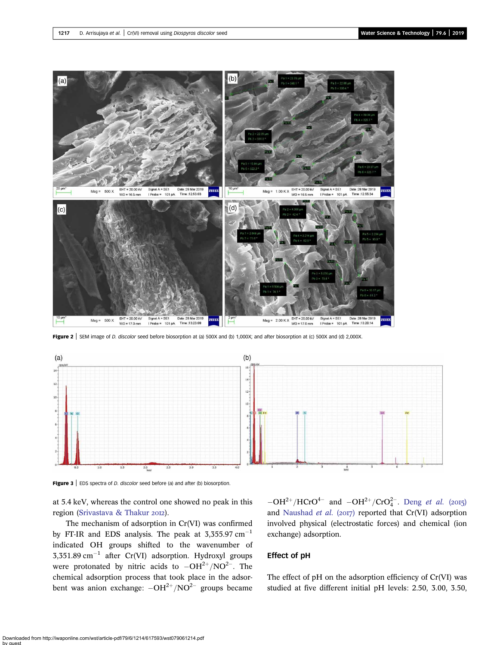<span id="page-3-0"></span>

Figure 2 | SEM image of D. discolor seed before biosorption at (a) 500X and (b) 1,000X; and after biosorption at (c) 500X and (d) 2,000X.



Figure 3 | EDS spectra of *D. discolor* seed before (a) and after (b) biosorption.

at 5.4 keV, whereas the control one showed no peak in this region ([Srivastava & Thakur](#page-7-0) 2012).

The mechanism of adsorption in Cr(VI) was confirmed by FT-IR and EDS analysis. The peak at  $3,355.97 \text{ cm}^{-1}$ indicated OH groups shifted to the wavenumber of  $3,351.89 \text{ cm}^{-1}$  after Cr(VI) adsorption. Hydroxyl groups were protonated by nitric acids to  $-OH^{2+}/NO^{2-}$ . The chemical adsorption process that took place in the adsorbent was anion exchange:  $-OH^{2+}/NO^{2-}$  groups became

 $-OH^{2+}/HCrO^{4-}$  and  $-OH^{2+}/CrO_4^{2-}$ . Deng *[et al.](#page-6-0)* (2015) and [Naushad](#page-7-0) et al. (2017) reported that  $Cr(VI)$  adsorption involved physical (electrostatic forces) and chemical (ion exchange) adsorption.

## Effect of pH

The effect of pH on the adsorption efficiency of Cr(VI) was studied at five different initial pH levels: 2.50, 3.00, 3.50,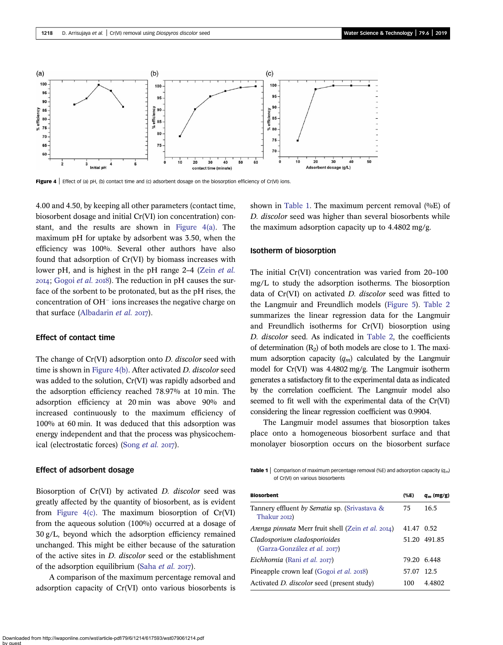

Figure 4 | Effect of (a) pH, (b) contact time and (c) adsorbent dosage on the biosorption efficiency of Cr(VI) ions.

4.00 and 4.50, by keeping all other parameters (contact time, biosorbent dosage and initial Cr(VI) ion concentration) constant, and the results are shown in Figure 4(a). The maximum pH for uptake by adsorbent was 3.50, when the efficiency was 100%. Several other authors have also found that adsorption of Cr(VI) by biomass increases with lower pH, and is highest in the pH range 2–4 (Zein [et al.](#page-7-0) 2014; [Gogoi](#page-6-0) et al. 2018). The reduction in pH causes the surface of the sorbent to be protonated, but as the pH rises, the concentration of  $OH^-$  ions increases the negative charge on that surface [\(Albadarin](#page-6-0) et al.  $2017$ ).

## Effect of contact time

The change of Cr(VI) adsorption onto D. discolor seed with time is shown in Figure 4(b). After activated D. discolor seed was added to the solution, Cr(VI) was rapidly adsorbed and the adsorption efficiency reached 78.97% at 10 min. The adsorption efficiency at 20 min was above 90% and increased continuously to the maximum efficiency of 100% at 60 min. It was deduced that this adsorption was energy independent and that the process was physicochem-ical (electrostatic forces) [\(Song](#page-7-0)  $et$   $al.$   $2017$ ).

#### Effect of adsorbent dosage

Biosorption of Cr(VI) by activated D. discolor seed was greatly affected by the quantity of biosorbent, as is evident from Figure  $4(c)$ . The maximum biosorption of  $Cr(VI)$ from the aqueous solution (100%) occurred at a dosage of 30 g/L, beyond which the adsorption efficiency remained unchanged. This might be either because of the saturation of the active sites in D. discolor seed or the establishment of the adsorption equilibrium [\(Saha](#page-7-0) et al.  $2017$ ).

A comparison of the maximum percentage removal and adsorption capacity of Cr(VI) onto various biosorbents is shown in Table 1. The maximum percent removal  $(\%E)$  of D. discolor seed was higher than several biosorbents while the maximum adsorption capacity up to 4.4802 mg/g.

### Isotherm of biosorption

The initial Cr(VI) concentration was varied from 20–100 mg/L to study the adsorption isotherms. The biosorption data of Cr(VI) on activated D. discolor seed was fitted to the Langmuir and Freundlich models [\(Figure 5](#page-5-0)). [Table 2](#page-5-0) summarizes the linear regression data for the Langmuir and Freundlich isotherms for Cr(VI) biosorption using D. discolor seed. As indicated in [Table 2](#page-5-0), the coefficients of determination  $(R<sub>2</sub>)$  of both models are close to 1. The maximum adsorption capacity  $(q_m)$  calculated by the Langmuir model for Cr(VI) was 4.4802 mg/g. The Langmuir isotherm generates a satisfactory fit to the experimental data as indicated by the correlation coefficient. The Langmuir model also seemed to fit well with the experimental data of the Cr(VI) considering the linear regression coefficient was 0.9904.

The Langmuir model assumes that biosorption takes place onto a homogeneous biosorbent surface and that monolayer biosorption occurs on the biosorbent surface

**Table 1** Comparison of maximum percentage removal (%E) and adsorption capacity ( $q_m$ ) of Cr(VI) on various biosorbents

| <b>Biosorbent</b>                                                | $(\%E)$ | $q_m$ (mg/g) |
|------------------------------------------------------------------|---------|--------------|
| Tannery effluent by Serratia sp. (Srivastava &<br>Thakur 2012)   | 75      | 16.5         |
| <i>Arenga pinnata</i> Merr fruit shell (Zein <i>et al.</i> 2014) | 41.47   | 0.52         |
| Cladosporium cladosporioides<br>(Garza-González et al. 2017)     | 51.20   | 491.85       |
| Eichhornia (Rani et al. 2017)                                    | 79.20   | 6.448        |
| Pineapple crown leaf (Gogoi <i>et al.</i> 2018)                  | 57.07   | -12.5        |
| Activated <i>D. discolor</i> seed (present study)                | 100     | 4.4802       |
|                                                                  |         |              |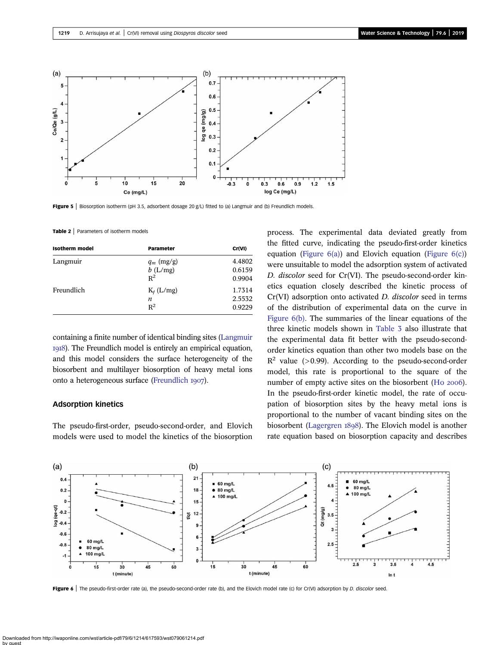<span id="page-5-0"></span>

Figure 5 | Biosorption isotherm (pH 3.5, adsorbent dosage 20 g/L) fitted to (a) Langmuir and (b) Freundlich models.

Table 2 | Parameters of isotherm models

| <b>Isotherm</b> model | Parameter                           | Cr(VI)                     |
|-----------------------|-------------------------------------|----------------------------|
| Langmuir              | $q_m$ (mg/g)<br>$b$ (L/mg)<br>$R^2$ | 4.4802<br>0.6159<br>0.9904 |
| Freundlich            | $K_f$ (L/mg)<br>n<br>$R^2$          | 1.7314<br>2.5532<br>0.9229 |

containing a finite number of identical binding sites [\(Langmuir](#page-6-0) ). The Freundlich model is entirely an empirical equation, and this model considers the surface heterogeneity of the biosorbent and multilayer biosorption of heavy metal ions onto a heterogeneous surface ([Freundlich](#page-6-0) 1907).

### Adsorption kinetics

The pseudo-first-order, pseudo-second-order, and Elovich models were used to model the kinetics of the biosorption process. The experimental data deviated greatly from the fitted curve, indicating the pseudo-first-order kinetics equation (Figure  $6(a)$ ) and Elovich equation (Figure  $6(c)$ ) were unsuitable to model the adsorption system of activated D. discolor seed for Cr(VI). The pseudo-second-order kinetics equation closely described the kinetic process of Cr(VI) adsorption onto activated D. discolor seed in terms of the distribution of experimental data on the curve in Figure 6(b). The summaries of the linear equations of the three kinetic models shown in [Table 3](#page-6-0) also illustrate that the experimental data fit better with the pseudo-secondorder kinetics equation than other two models base on the  $R^2$  value (>0.99). According to the pseudo-second-order model, this rate is proportional to the square of the number of empty active sites on the biosorbent (Ho 2006). In the pseudo-first-order kinetic model, the rate of occupation of biosorption sites by the heavy metal ions is proportional to the number of vacant binding sites on the biosorbent [\(Lagergren](#page-6-0) 1898). The Elovich model is another rate equation based on biosorption capacity and describes



Figure 6 | The pseudo-first-order rate (a), the pseudo-second-order rate (b), and the Elovich model rate (c) for Cr(VI) adsorption by D. discolor seed.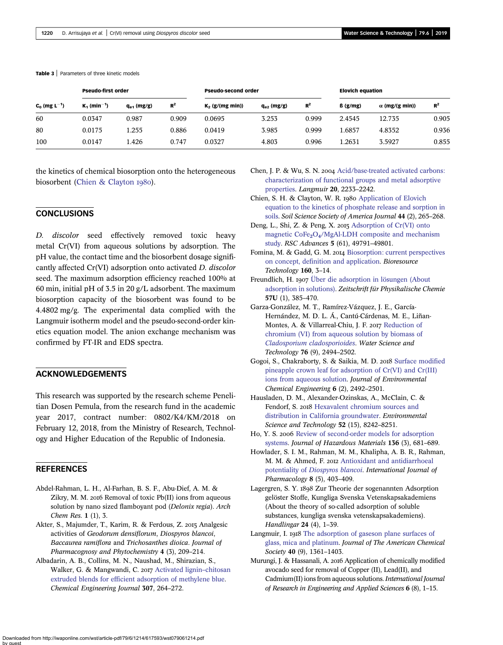#### <span id="page-6-0"></span>Table 3 | Parameters of three kinetic models

| $C_0$ (mg L <sup>-1</sup> ) | <b>Pseudo-first order</b>  |                 |       | <b>Pseudo-second order</b> |                 |       | <b>Elovich equation</b> |                       |       |
|-----------------------------|----------------------------|-----------------|-------|----------------------------|-----------------|-------|-------------------------|-----------------------|-------|
|                             | $K_1$ (min <sup>-1</sup> ) | $q_{e1}$ (mg/g) | $R^2$ | $K_2$ (g/(mg min))         | $q_{e2}$ (mg/g) | $R^2$ | $\beta$ (g/mg)          | $\alpha$ (mg/(g min)) | $R^2$ |
| 60                          | 0.0347                     | 0.987           | 0.909 | 0.0695                     | 3.253           | 0.999 | 2.4545                  | 12.735                | 0.905 |
| 80                          | 0.0175                     | 1.255           | 0.886 | 0.0419                     | 3.985           | 0.999 | 1.6857                  | 4.8352                | 0.936 |
| 100                         | 0.0147                     | 1.426           | 0.747 | 0.0327                     | 4.803           | 0.996 | 1.2631                  | 3.5927                | 0.855 |

the kinetics of chemical biosorption onto the heterogeneous biosorbent (Chien & Clayton 1980).

# **CONCLUSIONS**

D. discolor seed effectively removed toxic heavy metal Cr(VI) from aqueous solutions by adsorption. The pH value, the contact time and the biosorbent dosage significantly affected Cr(VI) adsorption onto activated D. discolor seed. The maximum adsorption efficiency reached 100% at 60 min, initial pH of 3.5 in 20 g/L adsorbent. The maximum biosorption capacity of the biosorbent was found to be 4.4802 mg/g. The experimental data complied with the Langmuir isotherm model and the pseudo-second-order kinetics equation model. The anion exchange mechanism was confirmed by FT-IR and EDS spectra.

# ACKNOWLEDGEMENTS

This research was supported by the research scheme Penelitian Dosen Pemula, from the research fund in the academic year 2017, contract number: 0802/K4/KM/2018 on February 12, 2018, from the Ministry of Research, Technology and Higher Education of the Republic of Indonesia.

## **REFERENCES**

- Abdel-Rahman, L. H., Al-Farhan, B. S. F., Abu-Dief, A. M. & Zikry, M. M. 2016 Removal of toxic Pb(II) ions from aqueous solution by nano sized flamboyant pod (Delonix regia). Arch Chem Res. 1 (1), 3.
- Akter, S., Majumder, T., Karim, R. & Ferdous, Z. 2015 Analgesic activities of Geodorum densiflorum, Diospyros blancoi, Baccaurea ramiflora and Trichosanthes dioica. Journal of Pharmacognosy and Phytochemistry 4 (3), 209–214.
- Albadarin, A. B., Collins, M. N., Naushad, M., Shirazian, S., Walker, G. & Mangwandi, C. 2017 [Activated lignin](http://dx.doi.org/10.1016/j.cej.2016.08.089)-chitosan [extruded blends for efficient adsorption of methylene blue](http://dx.doi.org/10.1016/j.cej.2016.08.089). Chemical Engineering Journal 307, 264–272.
- Chen, J. P. & Wu, S. N. 2004 [Acid/base-treated activated carbons:](http://dx.doi.org/10.1021/la0348463) [characterization of functional groups and metal adsorptive](http://dx.doi.org/10.1021/la0348463) [properties.](http://dx.doi.org/10.1021/la0348463) Langmuir 20, 2233–2242.
- Chien, S. H. & Clayton, W. R. 1980 [Application of Elovich](http://dx.doi.org/10.2136/sssaj1980.03615995004400020013x) [equation to the kinetics of phosphate release and sorption in](http://dx.doi.org/10.2136/sssaj1980.03615995004400020013x) [soils](http://dx.doi.org/10.2136/sssaj1980.03615995004400020013x). Soil Science Society of America Journal 44 (2), 265–268.
- Deng, L., Shi, Z. & Peng, X. 2015 [Adsorption of Cr\(VI\) onto](http://dx.doi.org/10.1039/C5RA06178D) [magnetic CoFe](http://dx.doi.org/10.1039/C5RA06178D)<sub>2</sub>[O](http://dx.doi.org/10.1039/C5RA06178D)<sub>4</sub>[/MgAl-LDH composite and mechanism](http://dx.doi.org/10.1039/C5RA06178D) [study](http://dx.doi.org/10.1039/C5RA06178D). RSC Advances 5 (61), 49791–49801.
- Fomina, M. & Gadd, G. M. 2014 [Biosorption: current perspectives](http://dx.doi.org/10.1016/j.biortech.2013.12.102) [on concept, definition and application](http://dx.doi.org/10.1016/j.biortech.2013.12.102). Bioresource Technology 160, 3–14.
- Freundlich, H. 1907 [Über die adsorption in lösungen \(About](http://dx.doi.org/10.1515/zpch-1907-5723) [adsorption in solutions\)](http://dx.doi.org/10.1515/zpch-1907-5723). Zeitschrift für Physikalische Chemie 57U (1), 385–470.
- Garza-González, M. T., Ramírez-Vázquez, J. E., García-Hernández, M. D. L. Á., Cantú-Cárdenas, M. E., Liñan-Montes, A. & Villarreal-Chiu, J. F. 2017 [Reduction of](http://dx.doi.org/10.2166/wst.2017.427) [chromium \(VI\) from aqueous solution by biomass of](http://dx.doi.org/10.2166/wst.2017.427) [Cladosporium cladosporioides](http://dx.doi.org/10.2166/wst.2017.427). Water Science and Technology 76 (9), 2494–2502.
- Gogoi, S., Chakraborty, S. & Saikia, M. D. 2018 [Surface modified](http://dx.doi.org/10.1016/j.jece.2018.03.040) [pineapple crown leaf for adsorption of Cr\(VI\) and Cr\(III\)](http://dx.doi.org/10.1016/j.jece.2018.03.040) [ions from aqueous solution](http://dx.doi.org/10.1016/j.jece.2018.03.040). Journal of Environmental Chemical Engineering 6 (2), 2492–2501.
- Hausladen, D. M., Alexander-Ozinskas, A., McClain, C. & Fendorf, S. 2018 [Hexavalent chromium sources and](http://dx.doi.org/10.1021/acs.est.7b06627) [distribution in California groundwater](http://dx.doi.org/10.1021/acs.est.7b06627). Environmental Science and Technology 52 (15), 8242–8251.
- Ho, Y. S. 2006 [Review of second-order models for adsorption](http://dx.doi.org/10.1016/j.jhazmat.2005.12.043) [systems.](http://dx.doi.org/10.1016/j.jhazmat.2005.12.043) Journal of Hazardous Materials 136 (3), 681–689.
- Howlader, S. I. M., Rahman, M. M., Khalipha, A. B. R., Rahman, M. M. & Ahmed, F. 2012 [Antioxidant and antidiarrhoeal](http://dx.doi.org/10.3923/ijp.2012.403.409) potentiality of [Diospyros blancoi](http://dx.doi.org/10.3923/ijp.2012.403.409). International Journal of Pharmacology 8 (5), 403–409.
- Lagergren, S. Y. 1898 Zur Theorie der sogenannten Adsorption gelöster Stoffe, Kungliga Svenska Vetenskapsakademiens (About the theory of so-called adsorption of soluble substances, kungliga svenska vetenskapsakademiens). Handlingar 24 (4), 1–39.
- Langmuir, I. 1918 [The adsorption of gaseson plane surfaces of](http://dx.doi.org/10.1021/ja02242a004) [glass, mica and platinum](http://dx.doi.org/10.1021/ja02242a004). Journal of The American Chemical Society 40 (9), 1361–1403.
- Murungi, J. & Hassanali, A. 2016 Application of chemically modified avocado seed for removal of Copper (II), Lead(II), and Cadmium(II) ions from aqueous solutions.International Journal of Research in Engineering and Applied Sciences 6 (8), 1–15.